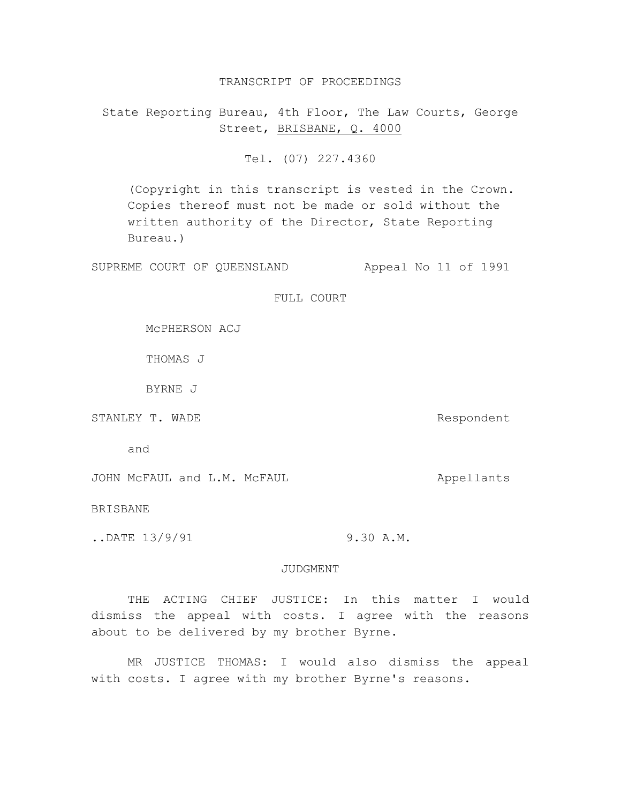### TRANSCRIPT OF PROCEEDINGS

State Reporting Bureau, 4th Floor, The Law Courts, George Street, BRISBANE, Q. 4000

Tel. (07) 227.4360

(Copyright in this transcript is vested in the Crown. Copies thereof must not be made or sold without the written authority of the Director, State Reporting Bureau.)

SUPREME COURT OF QUEENSLAND Appeal No 11 of 1991

FULL COURT

McPHERSON ACJ

THOMAS J

BYRNE J

STANLEY T. WADE STANLEY T. WADE

and

JOHN McFAUL and L.M. McFAUL Appellants

BRISBANE

.. DATE 13/9/91 9.30 A.M.

### JUDGMENT

THE ACTING CHIEF JUSTICE: In this matter I would dismiss the appeal with costs. I agree with the reasons about to be delivered by my brother Byrne.

MR JUSTICE THOMAS: I would also dismiss the appeal with costs. I agree with my brother Byrne's reasons.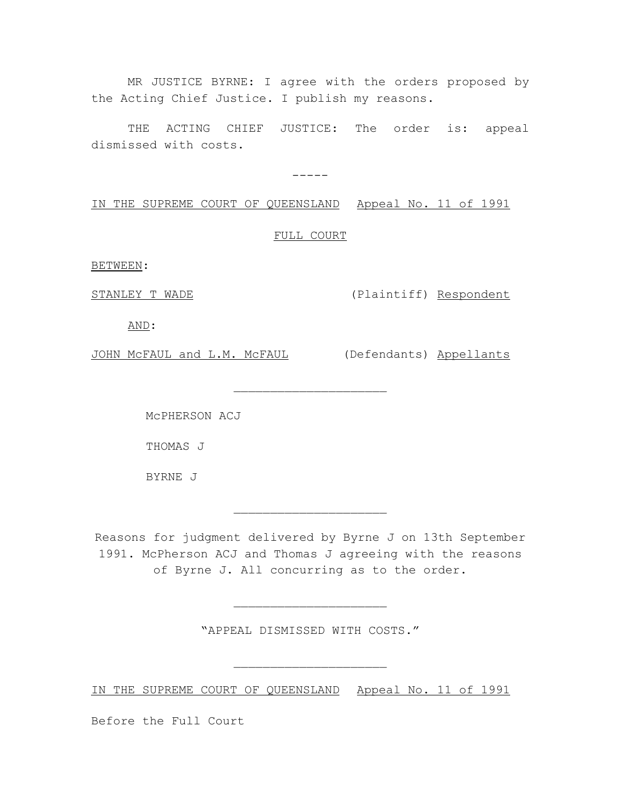MR JUSTICE BYRNE: I agree with the orders proposed by the Acting Chief Justice. I publish my reasons.

THE ACTING CHIEF JUSTICE: The order is: appeal dismissed with costs.

-----

IN THE SUPREME COURT OF QUEENSLAND Appeal No. 11 of 1991

FULL COURT

 $\overline{\phantom{a}}$  , where  $\overline{\phantom{a}}$  , where  $\overline{\phantom{a}}$  , where  $\overline{\phantom{a}}$ 

BETWEEN:

STANLEY T WADE (Plaintiff) Respondent

AND:

JOHN MCFAUL and L.M. MCFAUL (Defendants) Appellants

McPHERSON ACJ

THOMAS J

BYRNE J

Reasons for judgment delivered by Byrne J on 13th September 1991. McPherson ACJ and Thomas J agreeing with the reasons of Byrne J. All concurring as to the order.

 $\overline{\phantom{a}}$  , where  $\overline{\phantom{a}}$  , where  $\overline{\phantom{a}}$  , where  $\overline{\phantom{a}}$ 

"APPEAL DISMISSED WITH COSTS."

 $\overline{\phantom{a}}$  , where  $\overline{\phantom{a}}$  , where  $\overline{\phantom{a}}$  , where  $\overline{\phantom{a}}$ 

 $\overline{\phantom{a}}$  , where  $\overline{\phantom{a}}$  , where  $\overline{\phantom{a}}$  , where  $\overline{\phantom{a}}$ 

IN THE SUPREME COURT OF QUEENSLAND Appeal No. 11 of 1991

Before the Full Court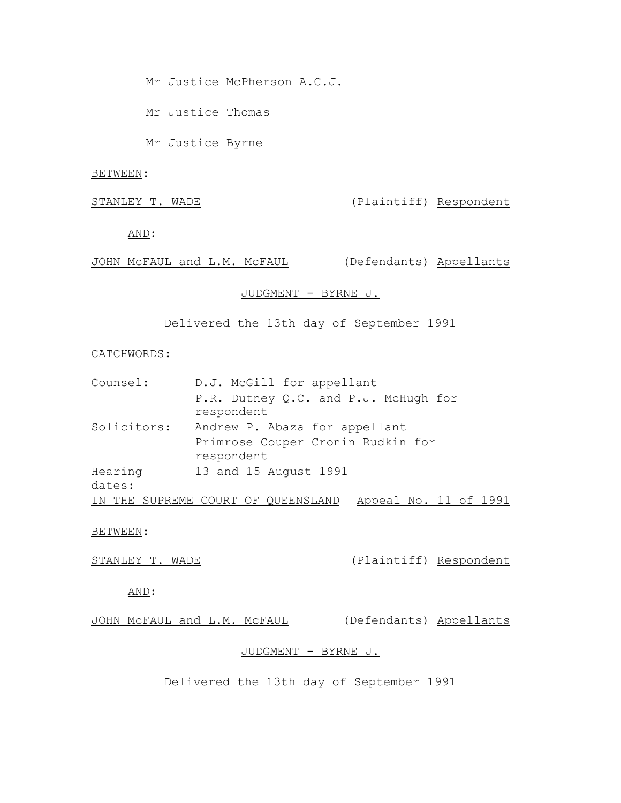Mr Justice McPherson A.C.J.

Mr Justice Thomas

Mr Justice Byrne

### BETWEEN:

STANLEY T. WADE (Plaintiff) Respondent

AND:

JOHN McFAUL and L.M. McFAUL (Defendants) Appellants

# JUDGMENT - BYRNE J.

Delivered the 13th day of September 1991

## CATCHWORDS:

| Counsel:    | D.J. McGill for appellant                                                        |
|-------------|----------------------------------------------------------------------------------|
|             | P.R. Dutney Q.C. and P.J. McHugh for<br>respondent                               |
| Solicitors: | Andrew P. Abaza for appellant<br>Primrose Couper Cronin Rudkin for<br>respondent |
| Hearing     | 13 and 15 August 1991                                                            |
| dates:      |                                                                                  |
| IN THE      | Appeal No. 11 of 1991<br>SUPREME COURT OF QUEENSLAND                             |

BETWEEN:

STANLEY T. WADE (Plaintiff) Respondent

AND:

JOHN McFAUL and L.M. McFAUL (Defendants) Appellants

## JUDGMENT - BYRNE J.

Delivered the 13th day of September 1991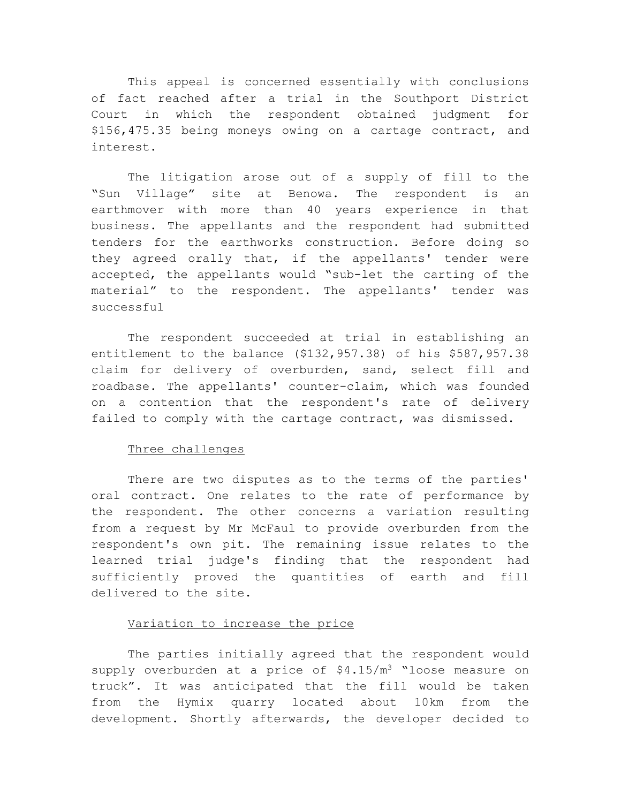This appeal is concerned essentially with conclusions of fact reached after a trial in the Southport District Court in which the respondent obtained judgment for \$156,475.35 being moneys owing on a cartage contract, and interest.

The litigation arose out of a supply of fill to the "Sun Village" site at Benowa. The respondent is an earthmover with more than 40 years experience in that business. The appellants and the respondent had submitted tenders for the earthworks construction. Before doing so they agreed orally that, if the appellants' tender were accepted, the appellants would "sub-let the carting of the material" to the respondent. The appellants' tender was successful

The respondent succeeded at trial in establishing an entitlement to the balance (\$132,957.38) of his \$587,957.38 claim for delivery of overburden, sand, select fill and roadbase. The appellants' counter-claim, which was founded on a contention that the respondent's rate of delivery failed to comply with the cartage contract, was dismissed.

## Three challenges

There are two disputes as to the terms of the parties' oral contract. One relates to the rate of performance by the respondent. The other concerns a variation resulting from a request by Mr McFaul to provide overburden from the respondent's own pit. The remaining issue relates to the learned trial judge's finding that the respondent had sufficiently proved the quantities of earth and fill delivered to the site.

## Variation to increase the price

The parties initially agreed that the respondent would supply overburden at a price of  $$4.15/m<sup>3</sup>$  "loose measure on truck". It was anticipated that the fill would be taken from the Hymix quarry located about 10km from the development. Shortly afterwards, the developer decided to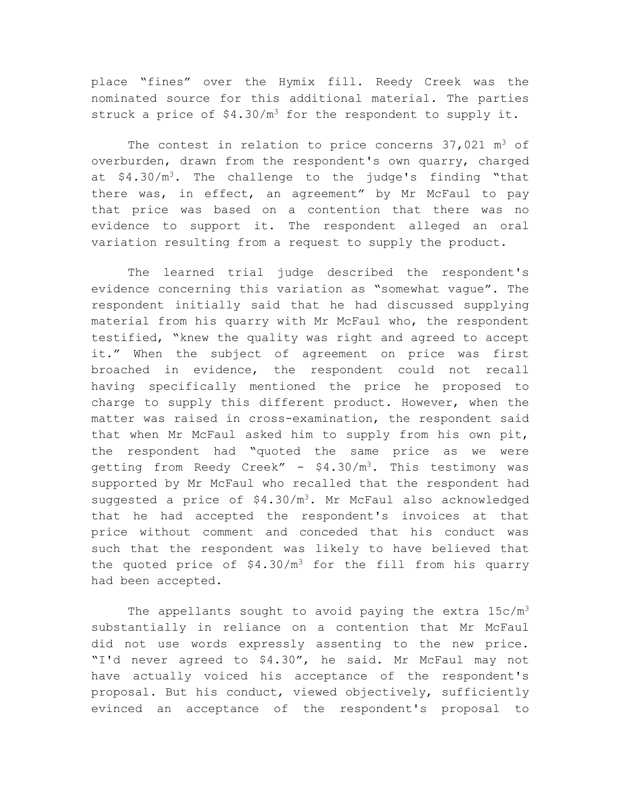place "fines" over the Hymix fill. Reedy Creek was the nominated source for this additional material. The parties struck a price of  $$4.30/m<sup>3</sup>$  for the respondent to supply it.

The contest in relation to price concerns  $37,021$  m<sup>3</sup> of overburden, drawn from the respondent's own quarry, charged at \$4.30/m<sup>3</sup>. The challenge to the judge's finding "that there was, in effect, an agreement" by Mr McFaul to pay that price was based on a contention that there was no evidence to support it. The respondent alleged an oral variation resulting from a request to supply the product.

The learned trial judge described the respondent's evidence concerning this variation as "somewhat vague". The respondent initially said that he had discussed supplying material from his quarry with Mr McFaul who, the respondent testified, "knew the quality was right and agreed to accept it." When the subject of agreement on price was first broached in evidence, the respondent could not recall having specifically mentioned the price he proposed to charge to supply this different product. However, when the matter was raised in cross-examination, the respondent said that when Mr McFaul asked him to supply from his own pit, the respondent had "quoted the same price as we were getting from Reedy Creek" -  $$4.30/m<sup>3</sup>$ . This testimony was supported by Mr McFaul who recalled that the respondent had suggested a price of  $$4.30/m^3$ . Mr McFaul also acknowledged that he had accepted the respondent's invoices at that price without comment and conceded that his conduct was such that the respondent was likely to have believed that the quoted price of  $$4.30/m<sup>3</sup>$  for the fill from his quarry had been accepted.

The appellants sought to avoid paying the extra  $15c/m<sup>3</sup>$ substantially in reliance on a contention that Mr McFaul did not use words expressly assenting to the new price. "I'd never agreed to \$4.30", he said. Mr McFaul may not have actually voiced his acceptance of the respondent's proposal. But his conduct, viewed objectively, sufficiently evinced an acceptance of the respondent's proposal to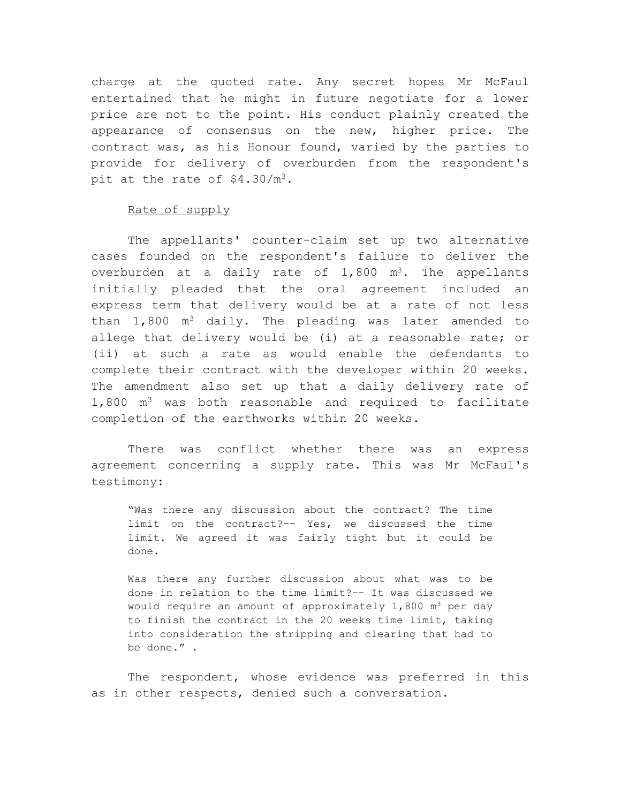charge at the quoted rate. Any secret hopes Mr McFaul entertained that he might in future negotiate for a lower price are not to the point. His conduct plainly created the appearance of consensus on the new, higher price. The contract was, as his Honour found, varied by the parties to provide for delivery of overburden from the respondent's pit at the rate of  $$4.30/m<sup>3</sup>$ .

## Rate of supply

The appellants' counter-claim set up two alternative cases founded on the respondent's failure to deliver the overburden at a daily rate of  $1,800$  m<sup>3</sup>. The appellants initially pleaded that the oral agreement included an express term that delivery would be at a rate of not less than  $1,800$  m<sup>3</sup> daily. The pleading was later amended to allege that delivery would be (i) at a reasonable rate; or (ii) at such a rate as would enable the defendants to complete their contract with the developer within 20 weeks. The amendment also set up that a daily delivery rate of  $1,800$  m<sup>3</sup> was both reasonable and required to facilitate completion of the earthworks within 20 weeks.

There was conflict whether there was an express agreement concerning a supply rate. This was Mr McFaul's testimony:

"Was there any discussion about the contract? The time limit on the contract?-- Yes, we discussed the time limit. We agreed it was fairly tight but it could be done.

Was there any further discussion about what was to be done in relation to the time limit?-- It was discussed we would require an amount of approximately  $1,800$  m<sup>3</sup> per day to finish the contract in the 20 weeks time limit, taking into consideration the stripping and clearing that had to be done." .

The respondent, whose evidence was preferred in this as in other respects, denied such a conversation.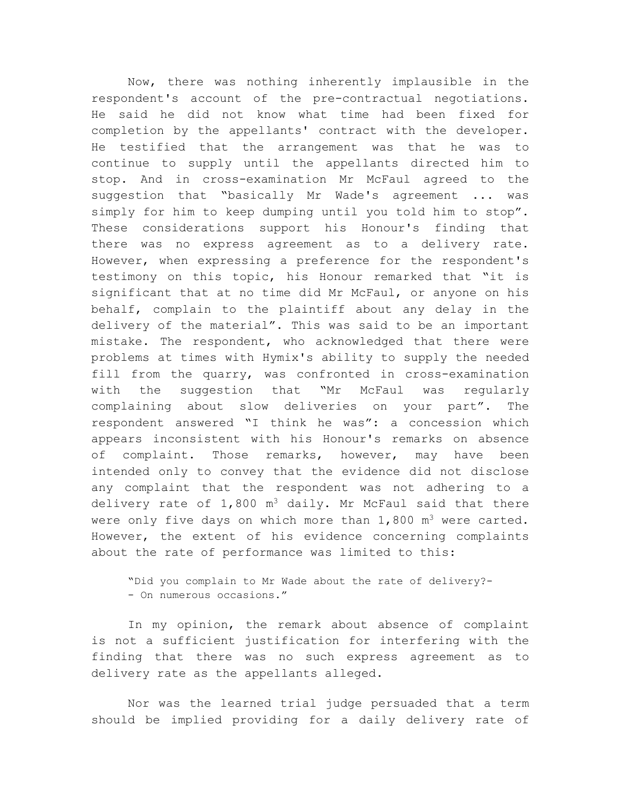Now, there was nothing inherently implausible in the respondent's account of the pre-contractual negotiations. He said he did not know what time had been fixed for completion by the appellants' contract with the developer. He testified that the arrangement was that he was to continue to supply until the appellants directed him to stop. And in cross-examination Mr McFaul agreed to the suggestion that "basically Mr Wade's agreement ... was simply for him to keep dumping until you told him to stop". These considerations support his Honour's finding that there was no express agreement as to a delivery rate. However, when expressing a preference for the respondent's testimony on this topic, his Honour remarked that "it is significant that at no time did Mr McFaul, or anyone on his behalf, complain to the plaintiff about any delay in the delivery of the material". This was said to be an important mistake. The respondent, who acknowledged that there were problems at times with Hymix's ability to supply the needed fill from the quarry, was confronted in cross-examination with the suggestion that "Mr McFaul was regularly complaining about slow deliveries on your part". The respondent answered "I think he was": a concession which appears inconsistent with his Honour's remarks on absence of complaint. Those remarks, however, may have been intended only to convey that the evidence did not disclose any complaint that the respondent was not adhering to a delivery rate of  $1,800$  m<sup>3</sup> daily. Mr McFaul said that there were only five days on which more than  $1,800$  m<sup>3</sup> were carted. However, the extent of his evidence concerning complaints about the rate of performance was limited to this:

"Did you complain to Mr Wade about the rate of delivery?- - On numerous occasions."

In my opinion, the remark about absence of complaint is not a sufficient justification for interfering with the finding that there was no such express agreement as to delivery rate as the appellants alleged.

Nor was the learned trial judge persuaded that a term should be implied providing for a daily delivery rate of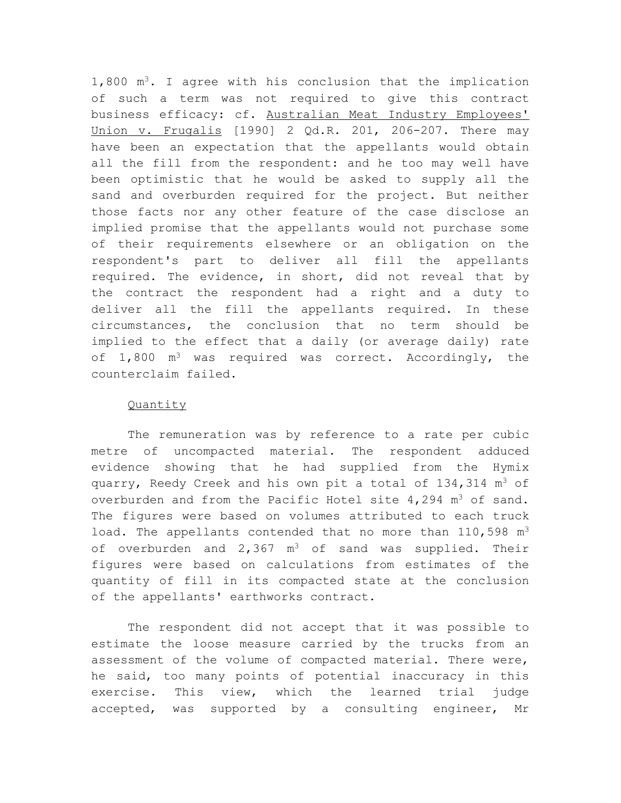$1,800$  m<sup>3</sup>. I agree with his conclusion that the implication of such a term was not required to give this contract business efficacy: cf. Australian Meat Industry Employees' Union v. Frugalis [1990] 2 Qd.R. 201, 206-207. There may have been an expectation that the appellants would obtain all the fill from the respondent: and he too may well have been optimistic that he would be asked to supply all the sand and overburden required for the project. But neither those facts nor any other feature of the case disclose an implied promise that the appellants would not purchase some of their requirements elsewhere or an obligation on the respondent's part to deliver all fill the appellants required. The evidence, in short, did not reveal that by the contract the respondent had a right and a duty to deliver all the fill the appellants required. In these circumstances, the conclusion that no term should be implied to the effect that a daily (or average daily) rate of  $1,800$  m<sup>3</sup> was required was correct. Accordingly, the counterclaim failed.

# Quantity

The remuneration was by reference to a rate per cubic metre of uncompacted material. The respondent adduced evidence showing that he had supplied from the Hymix quarry, Reedy Creek and his own pit a total of  $134,314$  m<sup>3</sup> of overburden and from the Pacific Hotel site  $4,294$  m<sup>3</sup> of sand. The figures were based on volumes attributed to each truck load. The appellants contended that no more than  $110,598$  m<sup>3</sup> of overburden and 2,367  $m^3$  of sand was supplied. Their figures were based on calculations from estimates of the quantity of fill in its compacted state at the conclusion of the appellants' earthworks contract.

The respondent did not accept that it was possible to estimate the loose measure carried by the trucks from an assessment of the volume of compacted material. There were, he said, too many points of potential inaccuracy in this exercise. This view, which the learned trial judge accepted, was supported by a consulting engineer, Mr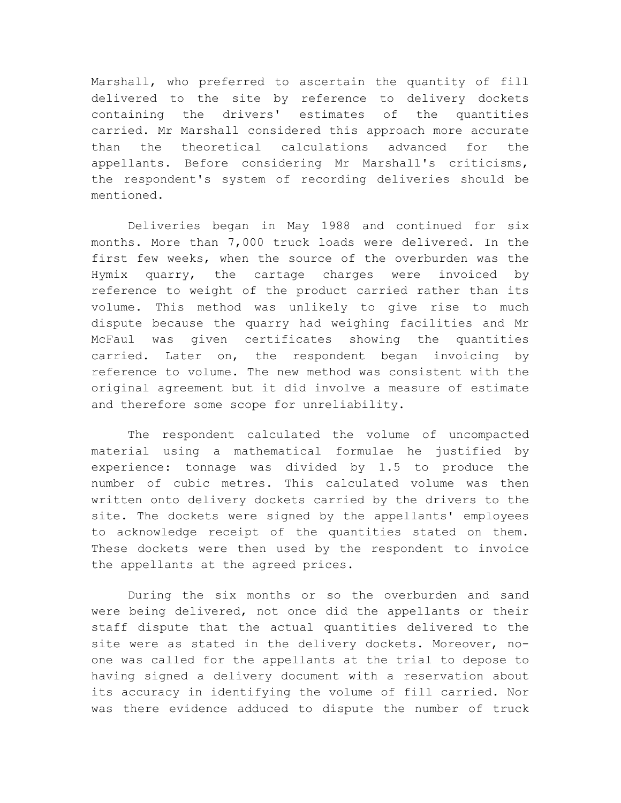Marshall, who preferred to ascertain the quantity of fill delivered to the site by reference to delivery dockets containing the drivers' estimates of the quantities carried. Mr Marshall considered this approach more accurate than the theoretical calculations advanced for the appellants. Before considering Mr Marshall's criticisms, the respondent's system of recording deliveries should be mentioned.

Deliveries began in May 1988 and continued for six months. More than 7,000 truck loads were delivered. In the first few weeks, when the source of the overburden was the Hymix quarry, the cartage charges were invoiced by reference to weight of the product carried rather than its volume. This method was unlikely to give rise to much dispute because the quarry had weighing facilities and Mr McFaul was given certificates showing the quantities carried. Later on, the respondent began invoicing by reference to volume. The new method was consistent with the original agreement but it did involve a measure of estimate and therefore some scope for unreliability.

The respondent calculated the volume of uncompacted material using a mathematical formulae he justified by experience: tonnage was divided by 1.5 to produce the number of cubic metres. This calculated volume was then written onto delivery dockets carried by the drivers to the site. The dockets were signed by the appellants' employees to acknowledge receipt of the quantities stated on them. These dockets were then used by the respondent to invoice the appellants at the agreed prices.

During the six months or so the overburden and sand were being delivered, not once did the appellants or their staff dispute that the actual quantities delivered to the site were as stated in the delivery dockets. Moreover, noone was called for the appellants at the trial to depose to having signed a delivery document with a reservation about its accuracy in identifying the volume of fill carried. Nor was there evidence adduced to dispute the number of truck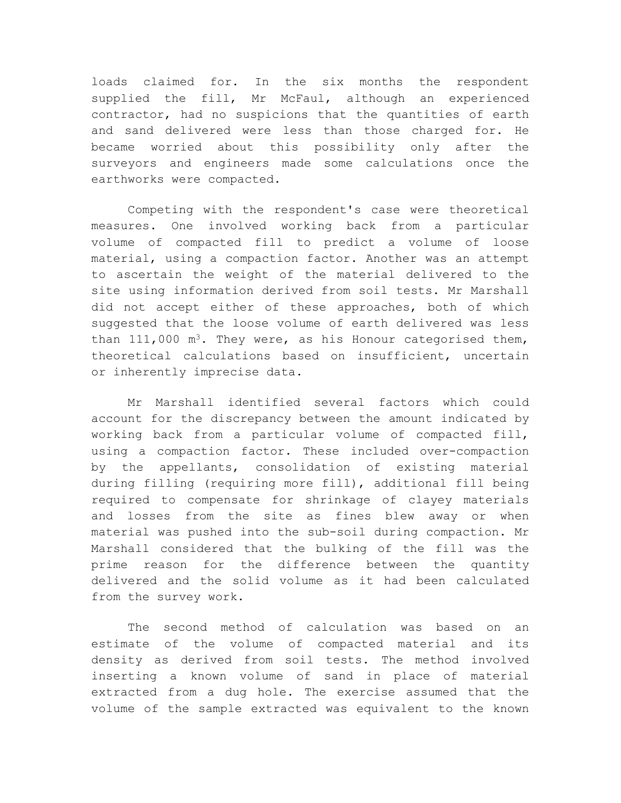loads claimed for. In the six months the respondent supplied the fill, Mr McFaul, although an experienced contractor, had no suspicions that the quantities of earth and sand delivered were less than those charged for. He became worried about this possibility only after the surveyors and engineers made some calculations once the earthworks were compacted.

Competing with the respondent's case were theoretical measures. One involved working back from a particular volume of compacted fill to predict a volume of loose material, using a compaction factor. Another was an attempt to ascertain the weight of the material delivered to the site using information derived from soil tests. Mr Marshall did not accept either of these approaches, both of which suggested that the loose volume of earth delivered was less than  $111,000$  m<sup>3</sup>. They were, as his Honour categorised them, theoretical calculations based on insufficient, uncertain or inherently imprecise data.

Mr Marshall identified several factors which could account for the discrepancy between the amount indicated by working back from a particular volume of compacted fill, using a compaction factor. These included over-compaction by the appellants, consolidation of existing material during filling (requiring more fill), additional fill being required to compensate for shrinkage of clayey materials and losses from the site as fines blew away or when material was pushed into the sub-soil during compaction. Mr Marshall considered that the bulking of the fill was the prime reason for the difference between the quantity delivered and the solid volume as it had been calculated from the survey work.

The second method of calculation was based on an estimate of the volume of compacted material and its density as derived from soil tests. The method involved inserting a known volume of sand in place of material extracted from a dug hole. The exercise assumed that the volume of the sample extracted was equivalent to the known